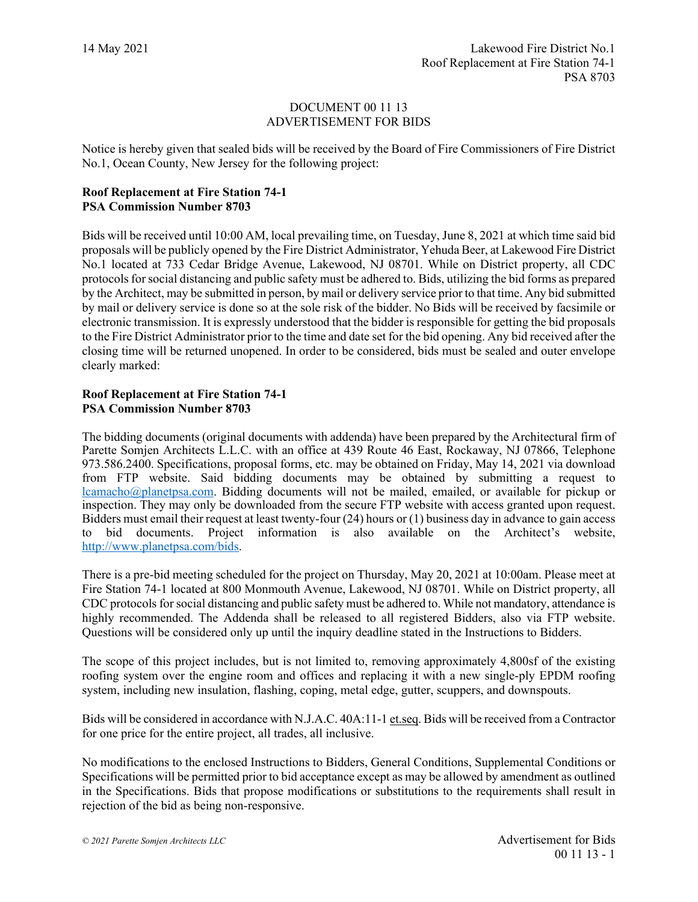## DOCUMENT 00 11 13 ADVERTISEMENT FOR BIDS

Notice is hereby given that sealed bids will be received by the Board of Fire Commissioners of Fire District No.1, Ocean County, New Jersey for the following project:

## **Roof Replacement at Fire Station 74-1 PSA Commission Number 8703**

Bids will be received until 10:00 AM, local prevailing time, on Tuesday, June 8, 2021 at which time said bid proposals will be publicly opened by the Fire District Administrator, Yehuda Beer, at Lakewood Fire District No.1 located at 733 Cedar Bridge Avenue, Lakewood, NJ 08701. While on District property, all CDC protocols for social distancing and public safety must be adhered to. Bids, utilizing the bid forms as prepared by the Architect, may be submitted in person, by mail or delivery service prior to that time. Any bid submitted by mail or delivery service is done so at the sole risk of the bidder. No Bids will be received by facsimile or electronic transmission. It is expressly understood that the bidder is responsible for getting the bid proposals to the Fire District Administrator prior to the time and date set for the bid opening. Any bid received after the closing time will be returned unopened. In order to be considered, bids must be sealed and outer envelope clearly marked:

## **Roof Replacement at Fire Station 74-1 PSA Commission Number 8703**

The bidding documents (original documents with addenda) have been prepared by the Architectural firm of Parette Somjen Architects L.L.C. with an office at 439 Route 46 East, Rockaway, NJ 07866, Telephone 973.586.2400. Specifications, proposal forms, etc. may be obtained on Friday, May 14, 2021 via download from FTP website. Said bidding documents may be obtained by submitting a request to [lcamacho@planetpsa.com.](mailto:lcamacho@planetpsa.com) Bidding documents will not be mailed, emailed, or available for pickup or inspection. They may only be downloaded from the secure FTP website with access granted upon request. Bidders must email their request at least twenty-four (24) hours or (1) business day in advance to gain access to bid documents. Project information is also available on the Architect's website, [http://www.planetpsa.com/bids.](http://www.planetpsa.com/bids)

There is a pre-bid meeting scheduled for the project on Thursday, May 20, 2021 at 10:00am. Please meet at Fire Station 74-1 located at 800 Monmouth Avenue, Lakewood, NJ 08701. While on District property, all CDC protocols for social distancing and public safety must be adhered to. While not mandatory, attendance is highly recommended. The Addenda shall be released to all registered Bidders, also via FTP website. Questions will be considered only up until the inquiry deadline stated in the Instructions to Bidders.

The scope of this project includes, but is not limited to, removing approximately 4,800sf of the existing roofing system over the engine room and offices and replacing it with a new single-ply EPDM roofing system, including new insulation, flashing, coping, metal edge, gutter, scuppers, and downspouts.

Bids will be considered in accordance with N.J.A.C. 40A:11-1 et.seq. Bids will be received from a Contractor for one price for the entire project, all trades, all inclusive.

No modifications to the enclosed Instructions to Bidders, General Conditions, Supplemental Conditions or Specifications will be permitted prior to bid acceptance except as may be allowed by amendment as outlined in the Specifications. Bids that propose modifications or substitutions to the requirements shall result in rejection of the bid as being non-responsive.